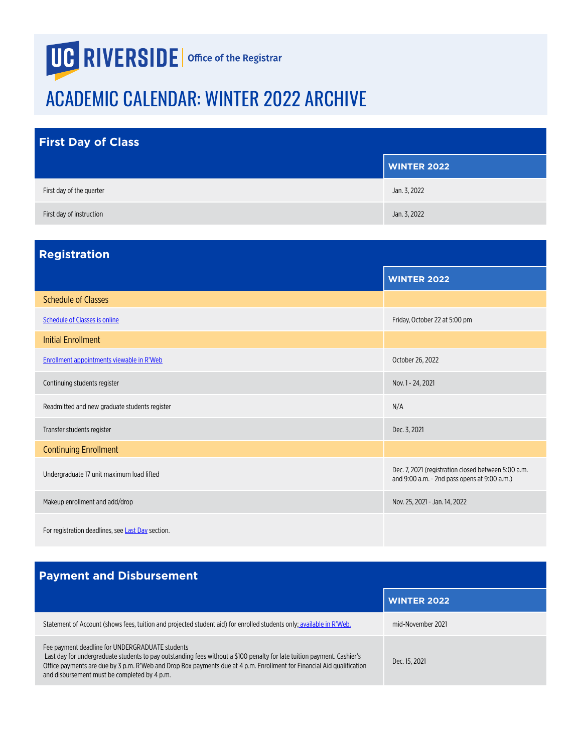## **UG RIVERSIDE** | Office of the Registrar

## ACADEMIC CALENDAR: WINTER 2022 ARCHIVE

| <b>First Day of Class</b> |                    |
|---------------------------|--------------------|
|                           | <b>WINTER 2022</b> |
| First day of the quarter  | Jan. 3, 2022       |
| First day of instruction  | Jan. 3, 2022       |

| <b>Registration</b>                               |                                                                                                     |
|---------------------------------------------------|-----------------------------------------------------------------------------------------------------|
|                                                   | <b>WINTER 2022</b>                                                                                  |
| <b>Schedule of Classes</b>                        |                                                                                                     |
| Schedule of Classes is online                     | Friday, October 22 at 5:00 pm                                                                       |
| <b>Initial Enrollment</b>                         |                                                                                                     |
| Enrollment appointments viewable in R'Web         | October 26, 2022                                                                                    |
| Continuing students register                      | Nov. 1 - 24, 2021                                                                                   |
| Readmitted and new graduate students register     | N/A                                                                                                 |
| Transfer students register                        | Dec. 3, 2021                                                                                        |
| <b>Continuing Enrollment</b>                      |                                                                                                     |
| Undergraduate 17 unit maximum load lifted         | Dec. 7, 2021 (registration closed between 5:00 a.m.<br>and 9:00 a.m. - 2nd pass opens at 9:00 a.m.) |
| Makeup enrollment and add/drop                    | Nov. 25, 2021 - Jan. 14, 2022                                                                       |
| For registration deadlines, see Last Day section. |                                                                                                     |

## **Payment and Disbursement**

|                                                                                                                                                                                                                                                                                                                                                      | <b>WINTER 2022</b> |
|------------------------------------------------------------------------------------------------------------------------------------------------------------------------------------------------------------------------------------------------------------------------------------------------------------------------------------------------------|--------------------|
| Statement of Account (shows fees, tuition and projected student aid) for enrolled students only; available in R'Web.                                                                                                                                                                                                                                 | mid-November 2021  |
| Fee payment deadline for UNDERGRADUATE students<br>Last day for undergraduate students to pay outstanding fees without a \$100 penalty for late tuition payment. Cashier's<br>Office payments are due by 3 p.m. R'Web and Drop Box payments due at 4 p.m. Enrollment for Financial Aid qualification<br>and disbursement must be completed by 4 p.m. | Dec. 15, 2021      |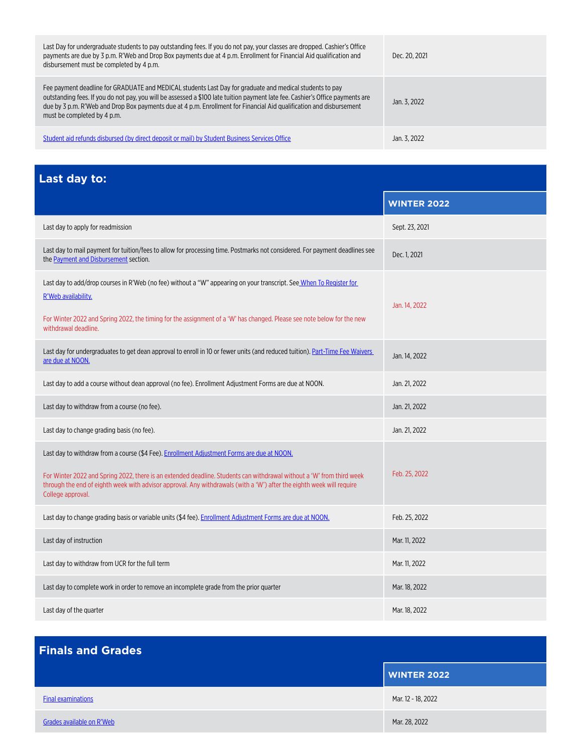<span id="page-1-0"></span>

| Last Day for undergraduate students to pay outstanding fees. If you do not pay, your classes are dropped. Cashier's Office<br>payments are due by 3 p.m. R'Web and Drop Box payments due at 4 p.m. Enrollment for Financial Aid qualification and<br>disbursement must be completed by 4 p.m.                                                                                                    | Dec. 20, 2021 |
|--------------------------------------------------------------------------------------------------------------------------------------------------------------------------------------------------------------------------------------------------------------------------------------------------------------------------------------------------------------------------------------------------|---------------|
| Fee payment deadline for GRADUATE and MEDICAL students Last Day for graduate and medical students to pay<br>outstanding fees. If you do not pay, you will be assessed a \$100 late tuition payment late fee. Cashier's Office payments are<br>due by 3 p.m. R'Web and Drop Box payments due at 4 p.m. Enrollment for Financial Aid qualification and disbursement<br>must be completed by 4 p.m. | Jan. 3. 2022  |
| Student aid refunds disbursed (by direct deposit or mail) by Student Business Services Office                                                                                                                                                                                                                                                                                                    | Jan. 3. 2022  |

**Last day to:**

|                                                                                                                                                                                                                                                                                                                                                                   | <b>WINTER 2022</b> |
|-------------------------------------------------------------------------------------------------------------------------------------------------------------------------------------------------------------------------------------------------------------------------------------------------------------------------------------------------------------------|--------------------|
| Last day to apply for readmission                                                                                                                                                                                                                                                                                                                                 | Sept. 23, 2021     |
| Last day to mail payment for tuition/fees to allow for processing time. Postmarks not considered. For payment deadlines see<br>the Payment and Disbursement section.                                                                                                                                                                                              | Dec. 1, 2021       |
| Last day to add/drop courses in R'Web (no fee) without a "W" appearing on your transcript. See When To Register for<br>R'Web availability.<br>For Winter 2022 and Spring 2022, the timing for the assignment of a 'W' has changed. Please see note below for the new<br>withdrawal deadline.                                                                      | Jan. 14, 2022      |
| Last day for undergraduates to get dean approval to enroll in 10 or fewer units (and reduced tuition). Part-Time Fee Waivers<br>are due at NOON.                                                                                                                                                                                                                  | Jan. 14, 2022      |
| Last day to add a course without dean approval (no fee). Enrollment Adjustment Forms are due at NOON.                                                                                                                                                                                                                                                             | Jan. 21, 2022      |
| Last day to withdraw from a course (no fee).                                                                                                                                                                                                                                                                                                                      | Jan. 21, 2022      |
| Last day to change grading basis (no fee).                                                                                                                                                                                                                                                                                                                        | Jan. 21, 2022      |
| Last day to withdraw from a course (\$4 Fee). Enrollment Adjustment Forms are due at NOON.<br>For Winter 2022 and Spring 2022, there is an extended deadline. Students can withdrawal without a 'W' from third week<br>through the end of eighth week with advisor approval. Any withdrawals (with a 'W') after the eighth week will require<br>College approval. | Feb. 25, 2022      |
| Last day to change grading basis or variable units (\$4 fee). Enrollment Adjustment Forms are due at NOON.                                                                                                                                                                                                                                                        | Feb. 25, 2022      |
| Last day of instruction                                                                                                                                                                                                                                                                                                                                           | Mar. 11, 2022      |
| Last day to withdraw from UCR for the full term                                                                                                                                                                                                                                                                                                                   | Mar. 11, 2022      |
| Last day to complete work in order to remove an incomplete grade from the prior quarter                                                                                                                                                                                                                                                                           | Mar. 18, 2022      |
| Last day of the quarter                                                                                                                                                                                                                                                                                                                                           | Mar. 18, 2022      |

| <b>Finals and Grades</b>  |                    |
|---------------------------|--------------------|
|                           | <b>WINTER 2022</b> |
| <b>Final examinations</b> | Mar. 12 - 18, 2022 |
| Grades available on R'Web | Mar. 28, 2022      |